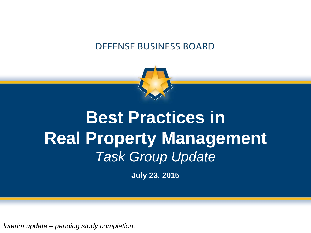#### **DEFENSE BUSINESS BOARD**



## **Best Practices in Real Property Management** *Task Group Update*

**July 23, 2015**

*Interim update – pending study completion.*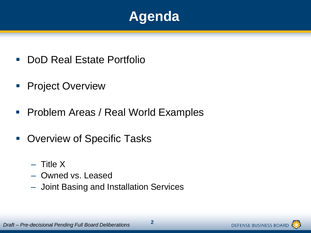

- **DoD Real Estate Portfolio**
- **Project Overview**
- **Problem Areas / Real World Examples**
- Overview of Specific Tasks
	- $-$  Title X
	- ‒ Owned vs. Leased
	- ‒ Joint Basing and Installation Services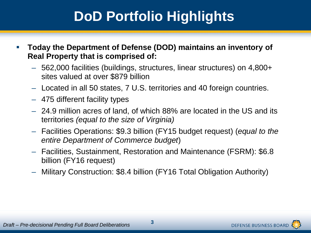## **DoD Portfolio Highlights**

- **Today the Department of Defense (DOD) maintains an inventory of Real Property that is comprised of:**
	- 562,000 facilities (buildings, structures, linear structures) on 4,800+ sites valued at over \$879 billion
	- Located in all 50 states, 7 U.S. territories and 40 foreign countries.
	- 475 different facility types
	- 24.9 million acres of land, of which 88% are located in the US and its territories *(equal to the size of Virginia)*
	- Facilities Operations: \$9.3 billion (FY15 budget request) (*equal to the entire Department of Commerce budget*)
	- Facilities, Sustainment, Restoration and Maintenance (FSRM): \$6.8 billion (FY16 request)
	- Military Construction: \$8.4 billion (FY16 Total Obligation Authority)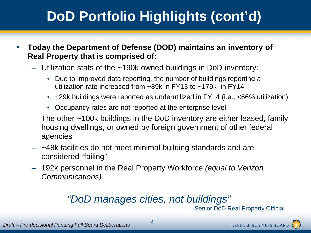## **DoD Portfolio Highlights (cont'd)**

- **Today the Department of Defense (DOD) maintains an inventory of Real Property that is comprised of:**
	- Utilization stats of the ~190k owned buildings in DoD inventory:
		- Due to improved data reporting, the number of buildings reporting a utilization rate increased from ~89k in FY13 to ~179k in FY14
		- ~29k buildings were reported as underutilized in FY14 (i.e., <66% utilization)
		- Occupancy rates are not reported at the enterprise level
	- The other ~100k buildings in the DoD inventory are either leased, family housing dwellings, or owned by foreign government of other federal agencies
	- $-$  ~48k facilities do not meet minimal building standards and are considered "failing"
	- 192k personnel in the Real Property Workforce *(equal to Verizon Communications)*

#### *"DoD manages cities, not buildings"*

– Senior DoD Real Property Official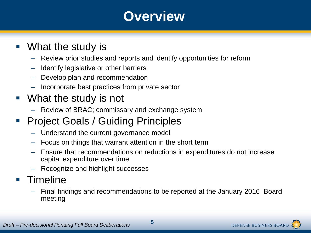### **Overview**

#### What the study is

- ‒ Review prior studies and reports and identify opportunities for reform
- ‒ Identify legislative or other barriers
- ‒ Develop plan and recommendation
- ‒ Incorporate best practices from private sector

#### What the study is not

- ‒ Review of BRAC; commissary and exchange system
- Project Goals / Guiding Principles
	- ‒ Understand the current governance model
	- ‒ Focus on things that warrant attention in the short term
	- ‒ Ensure that recommendations on reductions in expenditures do not increase capital expenditure over time
	- ‒ Recognize and highlight successes

#### **Timeline**

‒ Final findings and recommendations to be reported at the January 2016 Board meeting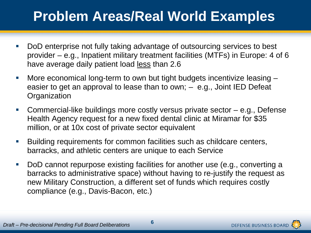## **Problem Areas/Real World Examples**

- DoD enterprise not fully taking advantage of outsourcing services to best provider – e.g., Inpatient military treatment facilities (MTFs) in Europe: 4 of 6 have average daily patient load less than 2.6
- More economical long-term to own but tight budgets incentivize leasing easier to get an approval to lease than to own; – e.g., Joint IED Defeat **Organization**
- Commercial-like buildings more costly versus private sector e.g., Defense Health Agency request for a new fixed dental clinic at Miramar for \$35 million, or at 10x cost of private sector equivalent
- Building requirements for common facilities such as childcare centers, barracks, and athletic centers are unique to each Service
- DoD cannot repurpose existing facilities for another use (e.g., converting a barracks to administrative space) without having to re-justify the request as new Military Construction, a different set of funds which requires costly compliance (e.g., Davis-Bacon, etc.)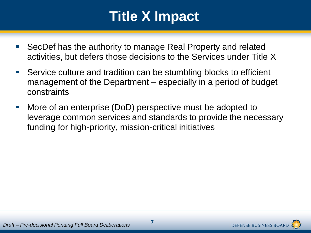## **Title X Impact**

- SecDef has the authority to manage Real Property and related activities, but defers those decisions to the Services under Title X
- Service culture and tradition can be stumbling blocks to efficient management of the Department – especially in a period of budget constraints
- More of an enterprise (DoD) perspective must be adopted to leverage common services and standards to provide the necessary funding for high-priority, mission-critical initiatives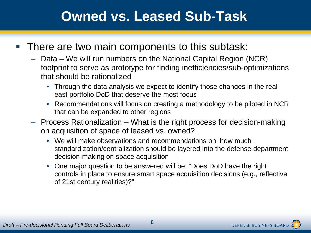### **Owned vs. Leased Sub-Task**

#### **There are two main components to this subtask:**

- Data We will run numbers on the National Capital Region (NCR) footprint to serve as prototype for finding inefficiencies/sub-optimizations that should be rationalized
	- Through the data analysis we expect to identify those changes in the real east portfolio DoD that deserve the most focus
	- Recommendations will focus on creating a methodology to be piloted in NCR that can be expanded to other regions
- Process Rationalization What is the right process for decision-making on acquisition of space of leased vs. owned?
	- We will make observations and recommendations on how much standardization/centralization should be layered into the defense department decision-making on space acquisition
	- One major question to be answered will be: "Does DoD have the right controls in place to ensure smart space acquisition decisions (e.g., reflective of 21st century realities)?"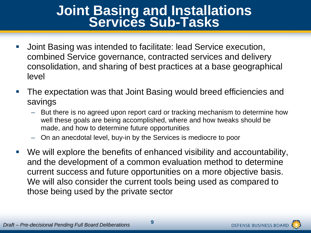# **Joint Basing and Installations Services Sub-Tasks**

- Joint Basing was intended to facilitate: lead Service execution, combined Service governance, contracted services and delivery consolidation, and sharing of best practices at a base geographical level
- The expectation was that Joint Basing would breed efficiencies and savings
	- But there is no agreed upon report card or tracking mechanism to determine how well these goals are being accomplished, where and how tweaks should be made, and how to determine future opportunities
	- On an anecdotal level, buy-in by the Services is mediocre to poor
- We will explore the benefits of enhanced visibility and accountability, and the development of a common evaluation method to determine current success and future opportunities on a more objective basis. We will also consider the current tools being used as compared to those being used by the private sector